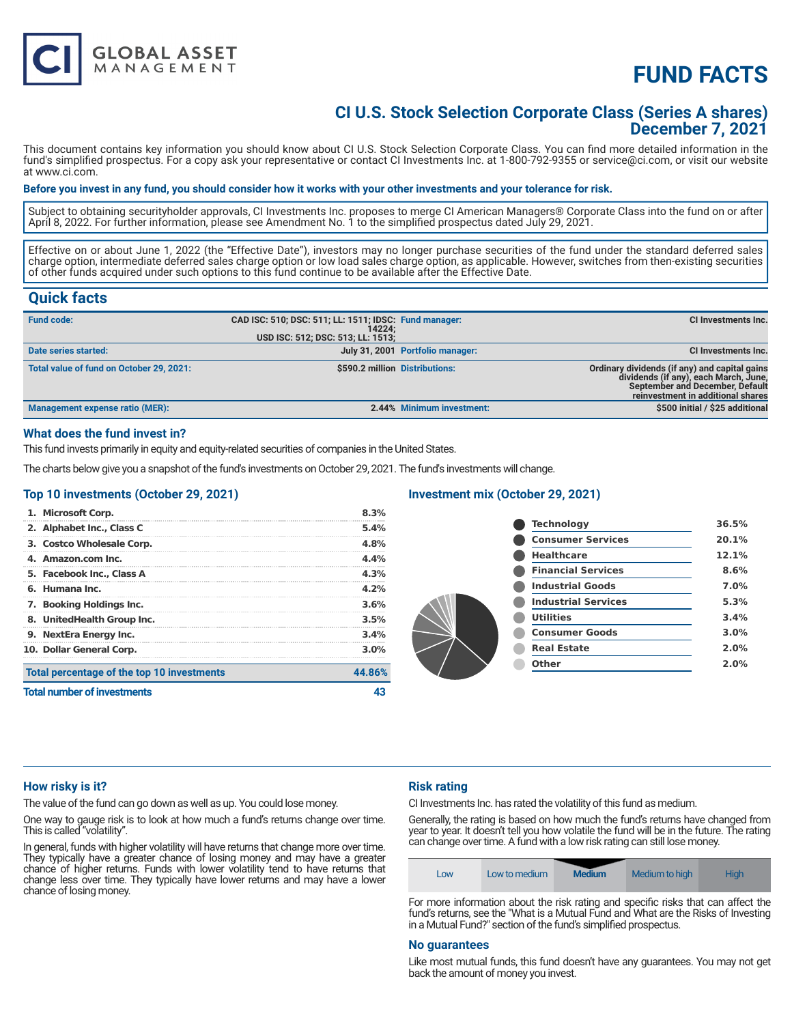

# **FUND FACTS**

# **CI U.S. Stock Selection Corporate Class (Series A shares) December 7, 2021**

This document contains key information you should know about CI U.S. Stock Selection Corporate Class. You can find more detailed information in the fund's simplified prospectus. For a copy ask your representative or contact CI Investments Inc. at 1-800-792-9355 or service@ci.com, or visit our website at www.ci.com.

#### **Before you invest in any fund, you should consider how it works with your other investments and your tolerance for risk.**

Subject to obtaining securityholder approvals, CI Investments Inc. proposes to merge CI American Managers® Corporate Class into the fund on or after April 8, 2022. For further information, please see Amendment No. 1 to the simplified prospectus dated July 29, 2021.

Effective on or about June 1, 2022 (the "Effective Date"), investors may no longer purchase securities of the fund under the standard deferred sales charge option, intermediate deferred sales charge option or low load sales charge option, as applicable. However, switches from then-existing securities of other funds acquired under such options to this fund continue to be available after the Effective Date.

# **Quick facts**

| <b>Fund code:</b>                        | CAD ISC: 510; DSC: 511; LL: 1511; IDSC: Fund manager:<br>14224: |                                  | CI Investments Inc.                                                                                                                                                   |
|------------------------------------------|-----------------------------------------------------------------|----------------------------------|-----------------------------------------------------------------------------------------------------------------------------------------------------------------------|
|                                          | USD ISC: 512; DSC: 513; LL: 1513;                               |                                  |                                                                                                                                                                       |
| Date series started:                     |                                                                 | July 31, 2001 Portfolio manager: | CI Investments Inc.                                                                                                                                                   |
| Total value of fund on October 29, 2021: | \$590.2 million Distributions:                                  |                                  | Ordinary dividends (if any) and capital gains<br>dividends (if any), each March, June,<br><b>September and December, Default</b><br>reinvestment in additional shares |
| Management expense ratio (MER):          |                                                                 | 2.44% Minimum investment:        | \$500 initial / \$25 additional                                                                                                                                       |

# **What does the fund invest in?**

This fund invests primarily in equity and equity-related securities of companies in the United States.

The charts below give you a snapshot of the fund's investments on October 29, 2021. The fund's investments will change.

#### **Top 10 investments (October 29, 2021)**

| <b>Total number of investments</b>         |         |
|--------------------------------------------|---------|
| Total percentage of the top 10 investments | 44.86%  |
| 10. Dollar General Corp.                   | $3.0\%$ |
| 9. NextEra Energy Inc.                     | 3.4%    |
| 8. UnitedHealth Group Inc.                 | 3.5%    |
| 7. Booking Holdings Inc.                   | 3.6%    |
| 6. Humana Inc.                             | 4.2%    |
| 5. Facebook Inc., Class A                  | 4.3%    |
| 4. Amazon.com Inc.                         | 4.4%    |
| 3. Costco Wholesale Corp.                  | 4.8%    |
| 2. Alphabet Inc., Class C                  | 5.4%    |
| 1. Microsoft Corp.                         | 8.3%    |

#### **Investment mix (October 29, 2021)**

| <b>Technology</b>          | 36.5% |
|----------------------------|-------|
| <b>Consumer Services</b>   | 20.1% |
| <b>Healthcare</b>          | 12.1% |
| <b>Financial Services</b>  | 8.6%  |
| <b>Industrial Goods</b>    | 7.0%  |
| <b>Industrial Services</b> | 5.3%  |
| <b>Utilities</b>           | 3.4%  |
| <b>Consumer Goods</b>      | 3.0%  |
| <b>Real Estate</b>         | 2.0%  |
| Other                      | 2.0%  |
|                            |       |

#### **How risky is it?**

The value of the fund can go down as well as up. You could lose money.

One way to gauge risk is to look at how much a fund's returns change over time. This is called "volatility".

In general, funds with higher volatility will have returns that change more over time. They typically have a greater chance of losing money and may have a greater chance of higher returns. Funds with lower volatility tend to have returns that change less over time. They typically have lower returns and may have a lower chance of losing money.

## **Risk rating**

CI Investments Inc. has rated the volatility of this fund as medium.

Generally, the rating is based on how much the fund's returns have changed from year to year. It doesn't tell you how volatile the fund will be in the future. The rating can change over time. A fund with a low risk rating can still lose money.

| LOW | Low to medium | <b>Medium</b> | Medium to high | <b>High</b> |
|-----|---------------|---------------|----------------|-------------|
|-----|---------------|---------------|----------------|-------------|

For more information about the risk rating and specific risks that can affect the fund's returns, see the "What is a Mutual Fund and What are the Risks of Investing in a Mutual Fund?" section of the fund's simplified prospectus.

#### **No guarantees**

Like most mutual funds, this fund doesn't have any guarantees. You may not get back the amount of money you invest.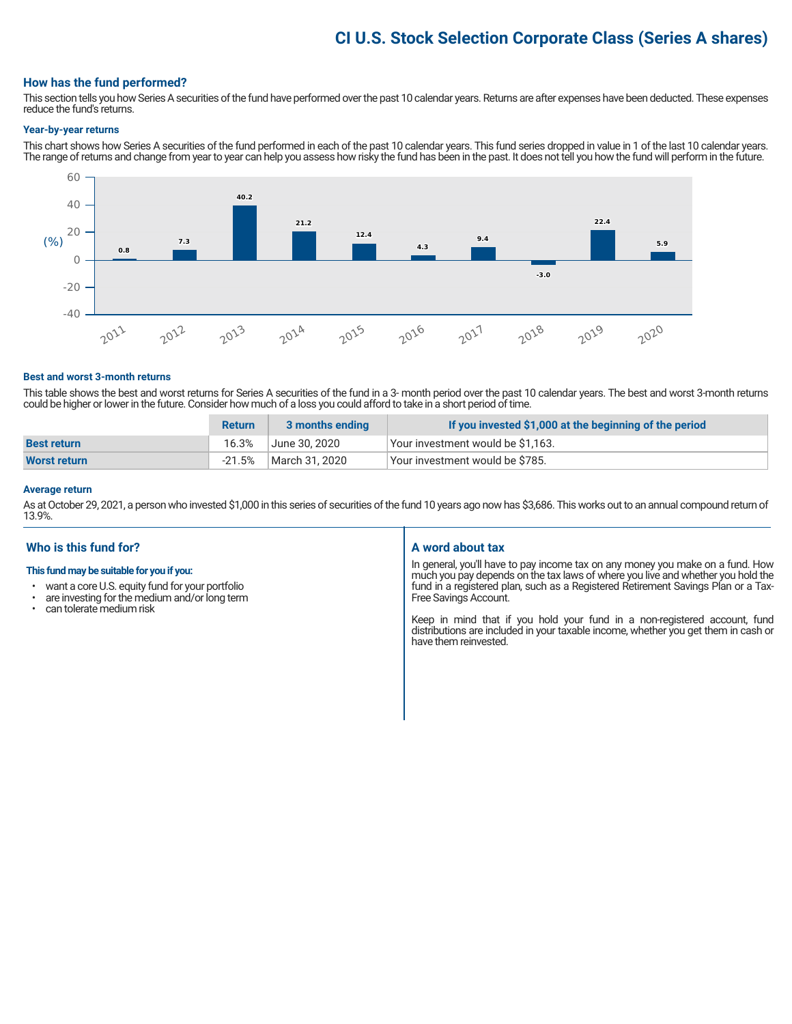# **CI U.S. Stock Selection Corporate Class (Series A shares)**

# **How has the fund performed?**

This section tells you how Series A securities of the fund have performed over the past 10 calendar years. Returns are after expenses have been deducted. These expenses reduce the fund's returns.

#### **Year-by-year returns**

This chart shows how Series A securities of the fund performed in each of the past 10 calendar years. This fund series dropped in value in 1 of the last 10 calendar years. The range of returns and change from year to year can help you assess how risky the fund has been in the past. It does not tell you how the fund will perform in the future.



#### **Best and worst 3-month returns**

This table shows the best and worst returns for Series A securities of the fund in a 3- month period over the past 10 calendar years. The best and worst 3-month returns could be higher or lower in the future. Consider how much of a loss you could afford to take in a short period of time.

|                    | <b>Return</b> | 3 months ending | If you invested \$1,000 at the beginning of the period |
|--------------------|---------------|-----------------|--------------------------------------------------------|
| <b>Best return</b> | 16.3%         | June 30. 2020   | Your investment would be \$1,163.                      |
| Worst return       | $-21.5%$      | March 31, 2020  | Vour investment would be \$785.                        |

#### **Average return**

As at October 29, 2021, a person who invested \$1,000 in this series of securities of the fund 10 years ago now has \$3,686. This works out to an annual compound return of 13.9%.

## **Who is this fund for?**

#### **This fund may be suitable for you if you:**

- want a core U.S. equity fund for your portfolio<br>• are investing for the medium and/or long term
- are investing for the medium and/or long term<br>• can tolerate medium risk
- can tolerate medium risk

## **A word about tax**

In general, you'll have to pay income tax on any money you make on a fund. How much you pay depends on the tax laws of where you live and whether you hold the fund in a registered plan, such as a Registered Retirement Savings Plan or a Tax-Free Savings Account.

Keep in mind that if you hold your fund in a non-registered account, fund distributions are included in your taxable income, whether you get them in cash or have them reinvested.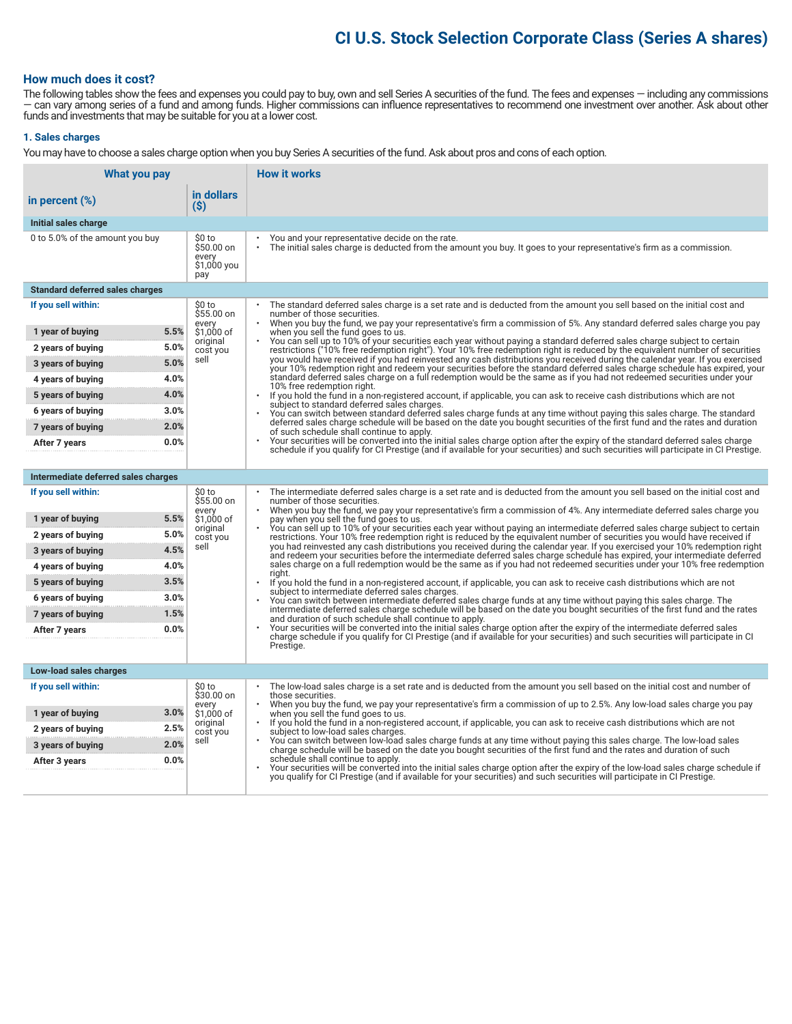# **CI U.S. Stock Selection Corporate Class (Series A shares)**

# **How much does it cost?**

The following tables show the fees and expenses you could pay to buy, own and sell Series A securities of the fund. The fees and expenses — including any commissions — can vary among series of a fund and among funds. Higher commissions can influence representatives to recommend one investment over another. Ask about other funds and investments that may be suitable for you at a lower cost.

## **1. Sales charges**

You may have to choose a sales charge option when you buy Series A securities of the fund. Ask about pros and cons of each option.

| What you pay                                   |                                                     | <b>How it works</b>                                                                                                                                                                                                                                                                   |
|------------------------------------------------|-----------------------------------------------------|---------------------------------------------------------------------------------------------------------------------------------------------------------------------------------------------------------------------------------------------------------------------------------------|
| in percent $(\%)$                              | in dollars<br>(S)                                   |                                                                                                                                                                                                                                                                                       |
| Initial sales charge                           |                                                     |                                                                                                                                                                                                                                                                                       |
| 0 to 5.0% of the amount you buy                | \$0 to<br>\$50.00 on<br>every<br>\$1,000 you<br>pay | You and your representative decide on the rate.<br>The initial sales charge is deducted from the amount you buy. It goes to your representative's firm as a commission.                                                                                                               |
| <b>Standard deferred sales charges</b>         |                                                     |                                                                                                                                                                                                                                                                                       |
| If you sell within:                            | \$0 to<br>$$55.00$ on                               | The standard deferred sales charge is a set rate and is deducted from the amount you sell based on the initial cost and<br>number of those securities.                                                                                                                                |
| 5.5%<br>1 year of buying                       | every<br>\$1,000 of                                 | When you buy the fund, we pay your representative's firm a commission of 5%. Any standard deferred sales charge you pay<br>when you sell the fund goes to us.                                                                                                                         |
| 5.0%<br>2 years of buying                      | original<br>cost you                                | You can sell up to 10% of your securities each year without paying a standard deferred sales charge subject to certain<br>restrictions ("10% free redemption right"). Your 10% free redemption right is reduced by the equivalent number of securities                                |
| 5.0%<br>3 years of buying                      | sell                                                | you would have received if you had reinvested any cash distributions you received during the calendar year. If you exercised<br>your 10% redemption right and redeem your securities before the standard deferred sales charge schedule has expired, your                             |
| 4.0%<br>4 years of buying                      |                                                     | standard deferred sales charge on a full redemption would be the same as if you had not redeemed securities under your<br>10% free redemption right.                                                                                                                                  |
| 4.0%<br>5 years of buying                      |                                                     | If you hold the fund in a non-registered account, if applicable, you can ask to receive cash distributions which are not<br>subject to standard deferred sales charges.                                                                                                               |
| 3.0%<br>6 years of buying                      |                                                     | You can switch between standard deferred sales charge funds at any time without paying this sales charge. The standard<br>deferred sales charge schedule will be based on the date you bought securities of the first fund and the rates and duration                                 |
| 2.0%<br>7 years of buying                      |                                                     | of such schedule shall continue to apply.                                                                                                                                                                                                                                             |
| 0.0%<br>After 7 years                          |                                                     | Your securities will be converted into the initial sales charge option after the expiry of the standard deferred sales charge<br>schedule if you qualify for CI Prestige (and if available for your securities) and such securities will participate in CI Prestige.                  |
|                                                |                                                     |                                                                                                                                                                                                                                                                                       |
| Intermediate deferred sales charges            |                                                     |                                                                                                                                                                                                                                                                                       |
| If you sell within:                            | \$0 to<br>\$55.00 on<br>every                       | The intermediate deferred sales charge is a set rate and is deducted from the amount you sell based on the initial cost and<br>number of those securities.<br>When you buy the fund, we pay your representative's firm a commission of 4%. Any intermediate deferred sales charge you |
| 5.5%<br>1 year of buying                       | \$1,000 of<br>original                              | pay when you sell the fund goes to us.<br>You can sell up to 10% of your securities each year without paying an intermediate deferred sales charge subject to certain                                                                                                                 |
| 5.0%<br>2 years of buying                      | cost you<br>sell                                    | restrictions. Your 10% free redemption right is reduced by the equivalent number of securities you would have received if<br>you had reinvested any cash distributions you received during the calendar year. If you exercised your 10% redemption right                              |
| 4.5%<br>3 years of buying                      |                                                     | and redeem your securities before the intermediate deferred sales charge schedule has expired, your intermediate deferred<br>sales charge on a full redemption would be the same as if you had not redeemed securities under your 10% free redemption                                 |
| 4.0%<br>4 years of buying<br>3.5%              |                                                     | riaht.                                                                                                                                                                                                                                                                                |
| 5 years of buying<br>3.0%<br>6 years of buying |                                                     | If you hold the fund in a non-registered account, if applicable, you can ask to receive cash distributions which are not<br>subject to intermediate deferred sales charges.                                                                                                           |
| 1.5%<br>7 years of buying                      |                                                     | You can switch between intermediate deferred sales charge funds at any time without paying this sales charge. The<br>intermediate deferred sales charge schedule will be based on the date you bought securities of the first fund and the rates                                      |
| 0.0%<br>After 7 years                          |                                                     | and duration of such schedule shall continue to apply.<br>Your securities will be converted into the initial sales charge option after the expiry of the intermediate deferred sales                                                                                                  |
|                                                |                                                     | charge schedule if you qualify for CI Prestige (and if available for your securities) and such securities will participate in CI<br>Prestige.                                                                                                                                         |
|                                                |                                                     |                                                                                                                                                                                                                                                                                       |
| Low-load sales charges                         |                                                     |                                                                                                                                                                                                                                                                                       |
| If you sell within:                            | \$0 to<br>\$30.00 on                                | The low-load sales charge is a set rate and is deducted from the amount you sell based on the initial cost and number of<br>those securities.                                                                                                                                         |
| 3.0%<br>1 year of buying                       | every<br>\$1,000 of                                 | When you buy the fund, we pay your representative's firm a commission of up to 2.5%. Any low-load sales charge you pay<br>when you sell the fund goes to us.                                                                                                                          |
| 2.5%<br>2 years of buying                      | original<br>cost you                                | If you hold the fund in a non-registered account, if applicable, you can ask to receive cash distributions which are not<br>subject to low-load sales charges.                                                                                                                        |
| 2.0%<br>3 years of buying                      | sell                                                | You can switch between low-load sales charge funds at any time without paying this sales charge. The low-load sales<br>charge schedule will be based on the date you bought securities of the first fund and the rates and duration of such                                           |
| 0.0%<br>After 3 years                          |                                                     | schedule shall continue to apply.<br>Your securities will be converted into the initial sales charge option after the expiry of the low-load sales charge schedule if                                                                                                                 |
|                                                |                                                     | you qualify for CI Prestige (and if available for your securities) and such securities will participate in CI Prestige.                                                                                                                                                               |